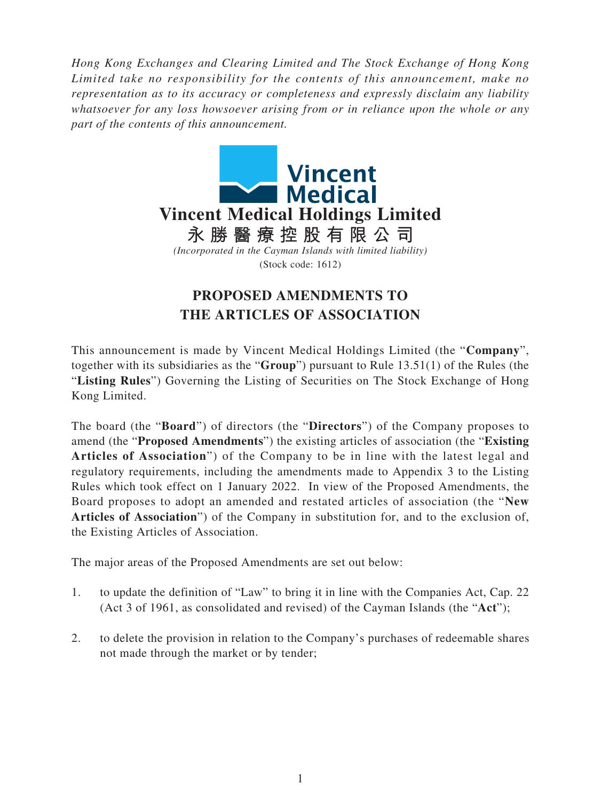*Hong Kong Exchanges and Clearing Limited and The Stock Exchange of Hong Kong Limited take no responsibility for the contents of this announcement, make no representation as to its accuracy or completeness and expressly disclaim any liability whatsoever for any loss howsoever arising from or in reliance upon the whole or any part of the contents of this announcement.*



## **PROPOSED AMENDMENTS TO THE ARTICLES OF ASSOCIATION**

This announcement is made by Vincent Medical Holdings Limited (the "**Company**", together with its subsidiaries as the "**Group**") pursuant to Rule 13.51(1) of the Rules (the "**Listing Rules**") Governing the Listing of Securities on The Stock Exchange of Hong Kong Limited.

The board (the "**Board**") of directors (the "**Directors**") of the Company proposes to amend (the "**Proposed Amendments**") the existing articles of association (the "**Existing Articles of Association**") of the Company to be in line with the latest legal and regulatory requirements, including the amendments made to Appendix 3 to the Listing Rules which took effect on 1 January 2022. In view of the Proposed Amendments, the Board proposes to adopt an amended and restated articles of association (the "**New Articles of Association**") of the Company in substitution for, and to the exclusion of, the Existing Articles of Association.

The major areas of the Proposed Amendments are set out below:

- 1. to update the definition of "Law" to bring it in line with the Companies Act, Cap. 22 (Act 3 of 1961, as consolidated and revised) of the Cayman Islands (the "**Act**");
- 2. to delete the provision in relation to the Company's purchases of redeemable shares not made through the market or by tender;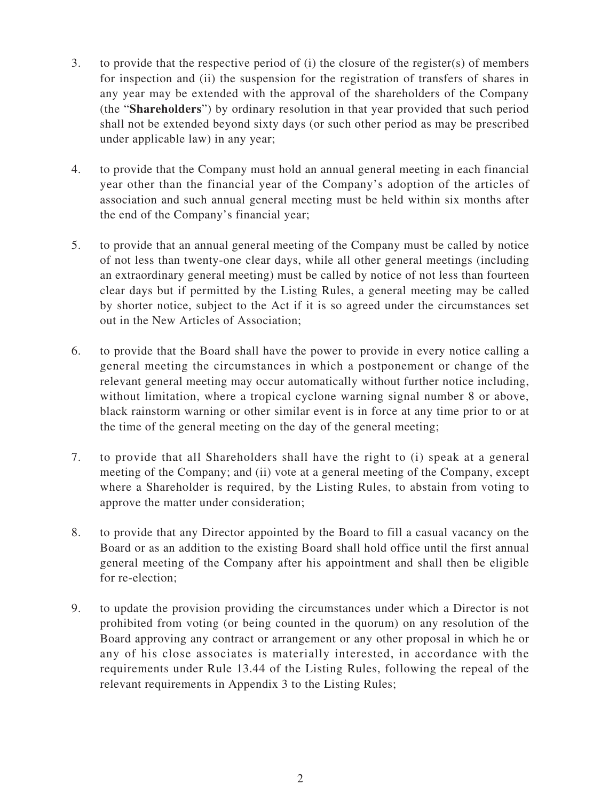- 3. to provide that the respective period of (i) the closure of the register(s) of members for inspection and (ii) the suspension for the registration of transfers of shares in any year may be extended with the approval of the shareholders of the Company (the "**Shareholders**") by ordinary resolution in that year provided that such period shall not be extended beyond sixty days (or such other period as may be prescribed under applicable law) in any year;
- 4. to provide that the Company must hold an annual general meeting in each financial year other than the financial year of the Company's adoption of the articles of association and such annual general meeting must be held within six months after the end of the Company's financial year;
- 5. to provide that an annual general meeting of the Company must be called by notice of not less than twenty-one clear days, while all other general meetings (including an extraordinary general meeting) must be called by notice of not less than fourteen clear days but if permitted by the Listing Rules, a general meeting may be called by shorter notice, subject to the Act if it is so agreed under the circumstances set out in the New Articles of Association;
- 6. to provide that the Board shall have the power to provide in every notice calling a general meeting the circumstances in which a postponement or change of the relevant general meeting may occur automatically without further notice including, without limitation, where a tropical cyclone warning signal number 8 or above, black rainstorm warning or other similar event is in force at any time prior to or at the time of the general meeting on the day of the general meeting;
- 7. to provide that all Shareholders shall have the right to (i) speak at a general meeting of the Company; and (ii) vote at a general meeting of the Company, except where a Shareholder is required, by the Listing Rules, to abstain from voting to approve the matter under consideration;
- 8. to provide that any Director appointed by the Board to fill a casual vacancy on the Board or as an addition to the existing Board shall hold office until the first annual general meeting of the Company after his appointment and shall then be eligible for re-election;
- 9. to update the provision providing the circumstances under which a Director is not prohibited from voting (or being counted in the quorum) on any resolution of the Board approving any contract or arrangement or any other proposal in which he or any of his close associates is materially interested, in accordance with the requirements under Rule 13.44 of the Listing Rules, following the repeal of the relevant requirements in Appendix 3 to the Listing Rules;